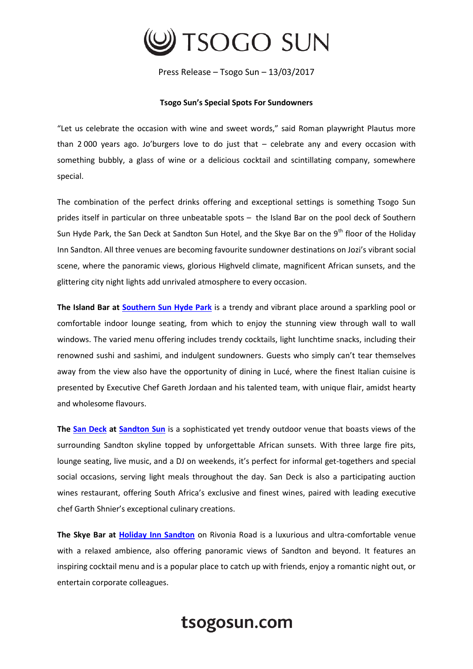

Press Release – Tsogo Sun – 13/03/2017

## **Tsogo Sun's Special Spots For Sundowners**

"Let us celebrate the occasion with wine and sweet words," said Roman playwright Plautus more than 2 000 years ago. Jo'burgers love to do just that  $-$  celebrate any and every occasion with something bubbly, a glass of wine or a delicious cocktail and scintillating company, somewhere special.

The combination of the perfect drinks offering and exceptional settings is something Tsogo Sun prides itself in particular on three unbeatable spots – the Island Bar on the pool deck of Southern Sun Hyde Park, the San Deck at Sandton Sun Hotel, and the Skye Bar on the 9<sup>th</sup> floor of the Holidav Inn Sandton. All three venues are becoming favourite sundowner destinations on Jozi's vibrant social scene, where the panoramic views, glorious Highveld climate, magnificent African sunsets, and the glittering city night lights add unrivaled atmosphere to every occasion.

**The Island Bar at [Southern Sun Hyde Park](https://www.tsogosun.com/southern-sun-hyde-park-sandton)** is a trendy and vibrant place around a sparkling pool or comfortable indoor lounge seating, from which to enjoy the stunning view through wall to wall windows. The varied menu offering includes trendy cocktails, light lunchtime snacks, including their renowned sushi and sashimi, and indulgent sundowners. Guests who simply can't tear themselves away from the view also have the opportunity of dining in Lucé, where the finest Italian cuisine is presented by Executive Chef Gareth Jordaan and his talented team, with unique flair, amidst hearty and wholesome flavours.

**The [San Deck](https://www.tsogosun.com/san-deck) at [Sandton Sun](https://www.tsogosun.com/sandton-sun-hotel)** is a sophisticated yet trendy outdoor venue that boasts views of the surrounding Sandton skyline topped by unforgettable African sunsets. With three large fire pits, lounge seating, live music, and a DJ on weekends, it's perfect for informal get-togethers and special social occasions, serving light meals throughout the day. San Deck is also a participating auction wines restaurant, offering South Africa's exclusive and finest wines, paired with leading executive chef Garth Shnier's exceptional culinary creations.

**The Skye Bar at [Holiday Inn Sandton](https://www.tsogosun.com/holiday-inn-sandton-rivonia-road)** on Rivonia Road is a luxurious and ultra-comfortable venue with a relaxed ambience, also offering panoramic views of Sandton and beyond. It features an inspiring cocktail menu and is a popular place to catch up with friends, enjoy a romantic night out, or entertain corporate colleagues.

## tsogosun.com